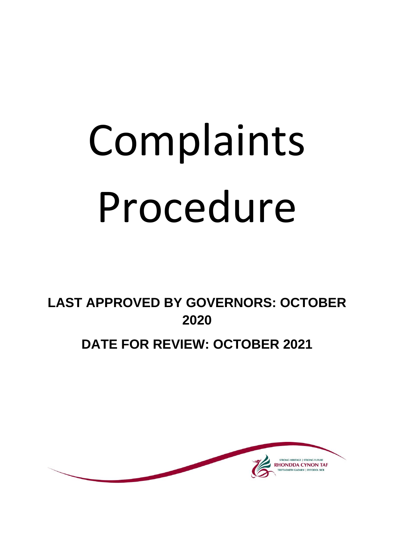# Complaints Procedure

**LAST APPROVED BY GOVERNORS: OCTOBER 2020**

# **DATE FOR REVIEW: OCTOBER 2021**

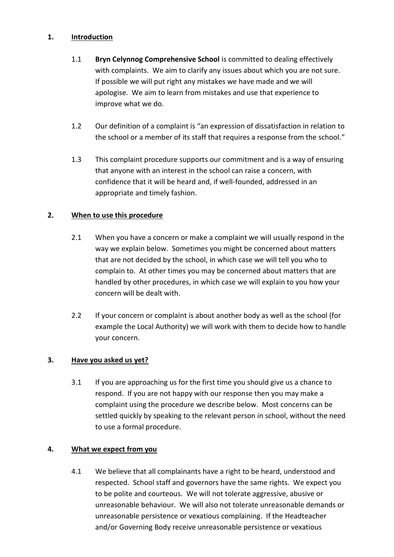# **1. Introduction**

- 1.1 **Bryn Celynnog Comprehensive School** is committed to dealing effectively with complaints. We aim to clarify any issues about which you are not sure. If possible we will put right any mistakes we have made and we will apologise. We aim to learn from mistakes and use that experience to improve what we do.
- 1.2 Our definition of a complaint is "an expression of dissatisfaction in relation to the school or a member of its staff that requires a response from the school."
- 1.3 This complaint procedure supports our commitment and is a way of ensuring that anyone with an interest in the school can raise a concern, with confidence that it will be heard and, if well-founded, addressed in an appropriate and timely fashion.

# **2. When to use this procedure**

- 2.1 When you have a concern or make a complaint we will usually respond in the way we explain below. Sometimes you might be concerned about matters that are not decided by the school, in which case we will tell you who to complain to. At other times you may be concerned about matters that are handled by other procedures, in which case we will explain to you how your concern will be dealt with.
- 2.2 If your concern or complaint is about another body as well as the school (for example the Local Authority) we will work with them to decide how to handle your concern.

# **3. Have you asked us yet?**

3.1 If you are approaching us for the first time you should give us a chance to respond. If you are not happy with our response then you may make a complaint using the procedure we describe below. Most concerns can be settled quickly by speaking to the relevant person in school, without the need to use a formal procedure.

# **4. What we expect from you**

4.1 We believe that all complainants have a right to be heard, understood and respected. School staff and governors have the same rights. We expect you to be polite and courteous. We will not tolerate aggressive, abusive or unreasonable behaviour. We will also not tolerate unreasonable demands or unreasonable persistence or vexatious complaining. If the Headteacher and/or Governing Body receive unreasonable persistence or vexatious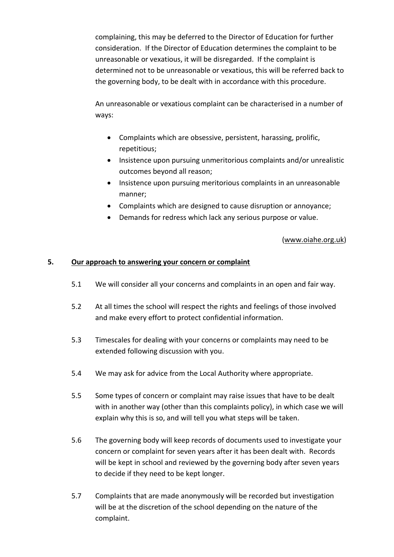complaining, this may be deferred to the Director of Education for further consideration. If the Director of Education determines the complaint to be unreasonable or vexatious, it will be disregarded. If the complaint is determined not to be unreasonable or vexatious, this will be referred back to the governing body, to be dealt with in accordance with this procedure.

An unreasonable or vexatious complaint can be characterised in a number of ways:

- Complaints which are obsessive, persistent, harassing, prolific, repetitious;
- Insistence upon pursuing unmeritorious complaints and/or unrealistic outcomes beyond all reason;
- Insistence upon pursuing meritorious complaints in an unreasonable manner;
- Complaints which are designed to cause disruption or annoyance;
- Demands for redress which lack any serious purpose or value.

# [\(www.oiahe.org.uk\)](http://www.oiahe.org.uk/)

#### **5. Our approach to answering your concern or complaint**

- 5.1 We will consider all your concerns and complaints in an open and fair way.
- 5.2 At all times the school will respect the rights and feelings of those involved and make every effort to protect confidential information.
- 5.3 Timescales for dealing with your concerns or complaints may need to be extended following discussion with you.
- 5.4 We may ask for advice from the Local Authority where appropriate.
- 5.5 Some types of concern or complaint may raise issues that have to be dealt with in another way (other than this complaints policy), in which case we will explain why this is so, and will tell you what steps will be taken.
- 5.6 The governing body will keep records of documents used to investigate your concern or complaint for seven years after it has been dealt with. Records will be kept in school and reviewed by the governing body after seven years to decide if they need to be kept longer.
- 5.7 Complaints that are made anonymously will be recorded but investigation will be at the discretion of the school depending on the nature of the complaint.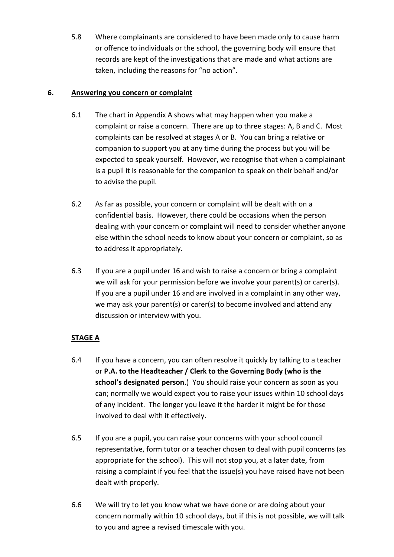5.8 Where complainants are considered to have been made only to cause harm or offence to individuals or the school, the governing body will ensure that records are kept of the investigations that are made and what actions are taken, including the reasons for "no action".

# **6. Answering you concern or complaint**

- 6.1 The chart in Appendix A shows what may happen when you make a complaint or raise a concern. There are up to three stages: A, B and C. Most complaints can be resolved at stages A or B. You can bring a relative or companion to support you at any time during the process but you will be expected to speak yourself. However, we recognise that when a complainant is a pupil it is reasonable for the companion to speak on their behalf and/or to advise the pupil.
- 6.2 As far as possible, your concern or complaint will be dealt with on a confidential basis. However, there could be occasions when the person dealing with your concern or complaint will need to consider whether anyone else within the school needs to know about your concern or complaint, so as to address it appropriately.
- 6.3 If you are a pupil under 16 and wish to raise a concern or bring a complaint we will ask for your permission before we involve your parent(s) or carer(s). If you are a pupil under 16 and are involved in a complaint in any other way, we may ask your parent(s) or carer(s) to become involved and attend any discussion or interview with you.

# **STAGE A**

- 6.4 If you have a concern, you can often resolve it quickly by talking to a teacher or **P.A. to the Headteacher / Clerk to the Governing Body (who is the school's designated person**.) You should raise your concern as soon as you can; normally we would expect you to raise your issues within 10 school days of any incident. The longer you leave it the harder it might be for those involved to deal with it effectively.
- 6.5 If you are a pupil, you can raise your concerns with your school council representative, form tutor or a teacher chosen to deal with pupil concerns (as appropriate for the school). This will not stop you, at a later date, from raising a complaint if you feel that the issue(s) you have raised have not been dealt with properly.
- 6.6 We will try to let you know what we have done or are doing about your concern normally within 10 school days, but if this is not possible, we will talk to you and agree a revised timescale with you.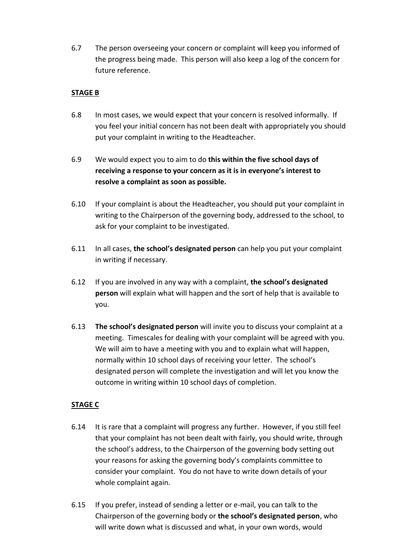6.7 The person overseeing your concern or complaint will keep you informed of the progress being made. This person will also keep a log of the concern for future reference.

# **STAGE B**

- 6.8 In most cases, we would expect that your concern is resolved informally. If you feel your initial concern has not been dealt with appropriately you should put your complaint in writing to the Headteacher.
- 6.9 We would expect you to aim to do **this within the five school days of receiving a response to your concern as it is in everyone's interest to resolve a complaint as soon as possible.**
- 6.10 If your complaint is about the Headteacher, you should put your complaint in writing to the Chairperson of the governing body, addressed to the school, to ask for your complaint to be investigated.
- 6.11 In all cases, **the school's designated person** can help you put your complaint in writing if necessary.
- 6.12 If you are involved in any way with a complaint, **the school's designated person** will explain what will happen and the sort of help that is available to you.
- 6.13 **The school's designated person** will invite you to discuss your complaint at a meeting. Timescales for dealing with your complaint will be agreed with you. We will aim to have a meeting with you and to explain what will happen, normally within 10 school days of receiving your letter. The school's designated person will complete the investigation and will let you know the outcome in writing within 10 school days of completion.

# **STAGE C**

- 6.14 It is rare that a complaint will progress any further. However, if you still feel that your complaint has not been dealt with fairly, you should write, through the school's address, to the Chairperson of the governing body setting out your reasons for asking the governing body's complaints committee to consider your complaint. You do not have to write down details of your whole complaint again.
- 6.15 If you prefer, instead of sending a letter or e-mail, you can talk to the Chairperson of the governing body or **the school's designated person**, who will write down what is discussed and what, in your own words, would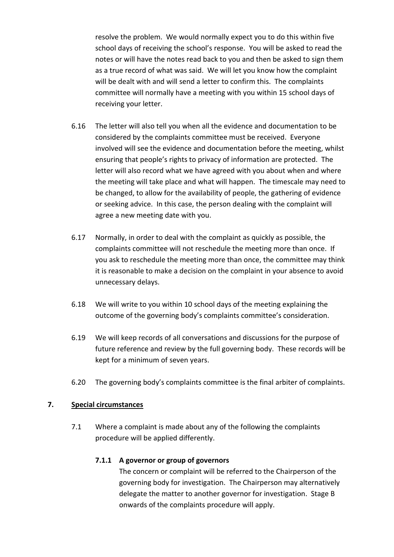resolve the problem. We would normally expect you to do this within five school days of receiving the school's response. You will be asked to read the notes or will have the notes read back to you and then be asked to sign them as a true record of what was said. We will let you know how the complaint will be dealt with and will send a letter to confirm this. The complaints committee will normally have a meeting with you within 15 school days of receiving your letter.

- 6.16 The letter will also tell you when all the evidence and documentation to be considered by the complaints committee must be received. Everyone involved will see the evidence and documentation before the meeting, whilst ensuring that people's rights to privacy of information are protected. The letter will also record what we have agreed with you about when and where the meeting will take place and what will happen. The timescale may need to be changed, to allow for the availability of people, the gathering of evidence or seeking advice. In this case, the person dealing with the complaint will agree a new meeting date with you.
- 6.17 Normally, in order to deal with the complaint as quickly as possible, the complaints committee will not reschedule the meeting more than once. If you ask to reschedule the meeting more than once, the committee may think it is reasonable to make a decision on the complaint in your absence to avoid unnecessary delays.
- 6.18 We will write to you within 10 school days of the meeting explaining the outcome of the governing body's complaints committee's consideration.
- 6.19 We will keep records of all conversations and discussions for the purpose of future reference and review by the full governing body. These records will be kept for a minimum of seven years.
- 6.20 The governing body's complaints committee is the final arbiter of complaints.

# **7. Special circumstances**

7.1 Where a complaint is made about any of the following the complaints procedure will be applied differently.

# **7.1.1 A governor or group of governors**

The concern or complaint will be referred to the Chairperson of the governing body for investigation. The Chairperson may alternatively delegate the matter to another governor for investigation. Stage B onwards of the complaints procedure will apply.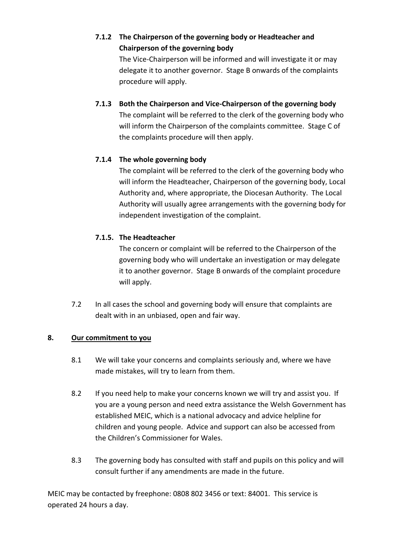**7.1.2 The Chairperson of the governing body or Headteacher and Chairperson of the governing body**

> The Vice-Chairperson will be informed and will investigate it or may delegate it to another governor. Stage B onwards of the complaints procedure will apply.

**7.1.3 Both the Chairperson and Vice-Chairperson of the governing body** The complaint will be referred to the clerk of the governing body who will inform the Chairperson of the complaints committee. Stage C of the complaints procedure will then apply.

# **7.1.4 The whole governing body**

The complaint will be referred to the clerk of the governing body who will inform the Headteacher, Chairperson of the governing body, Local Authority and, where appropriate, the Diocesan Authority. The Local Authority will usually agree arrangements with the governing body for independent investigation of the complaint.

# **7.1.5. The Headteacher**

The concern or complaint will be referred to the Chairperson of the governing body who will undertake an investigation or may delegate it to another governor. Stage B onwards of the complaint procedure will apply.

7.2 In all cases the school and governing body will ensure that complaints are dealt with in an unbiased, open and fair way.

# **8. Our commitment to you**

- 8.1 We will take your concerns and complaints seriously and, where we have made mistakes, will try to learn from them.
- 8.2 If you need help to make your concerns known we will try and assist you. If you are a young person and need extra assistance the Welsh Government has established MEIC, which is a national advocacy and advice helpline for children and young people. Advice and support can also be accessed from the Children's Commissioner for Wales.
- 8.3 The governing body has consulted with staff and pupils on this policy and will consult further if any amendments are made in the future.

MEIC may be contacted by freephone: 0808 802 3456 or text: 84001. This service is operated 24 hours a day.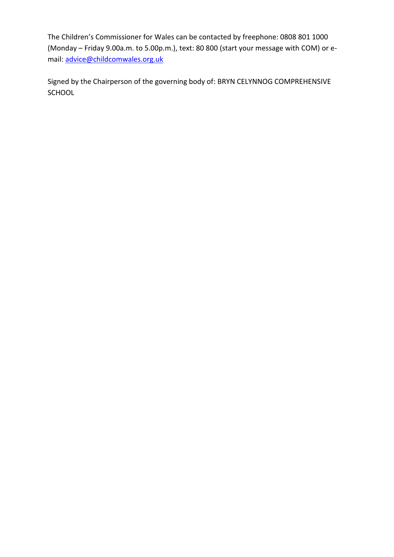The Children's Commissioner for Wales can be contacted by freephone: 0808 801 1000 (Monday – Friday 9.00a.m. to 5.00p.m.), text: 80 800 (start your message with COM) or email: [advice@childcomwales.org.uk](mailto:advice@childcomwales.org.uk)

Signed by the Chairperson of the governing body of: BRYN CELYNNOG COMPREHENSIVE SCHOOL